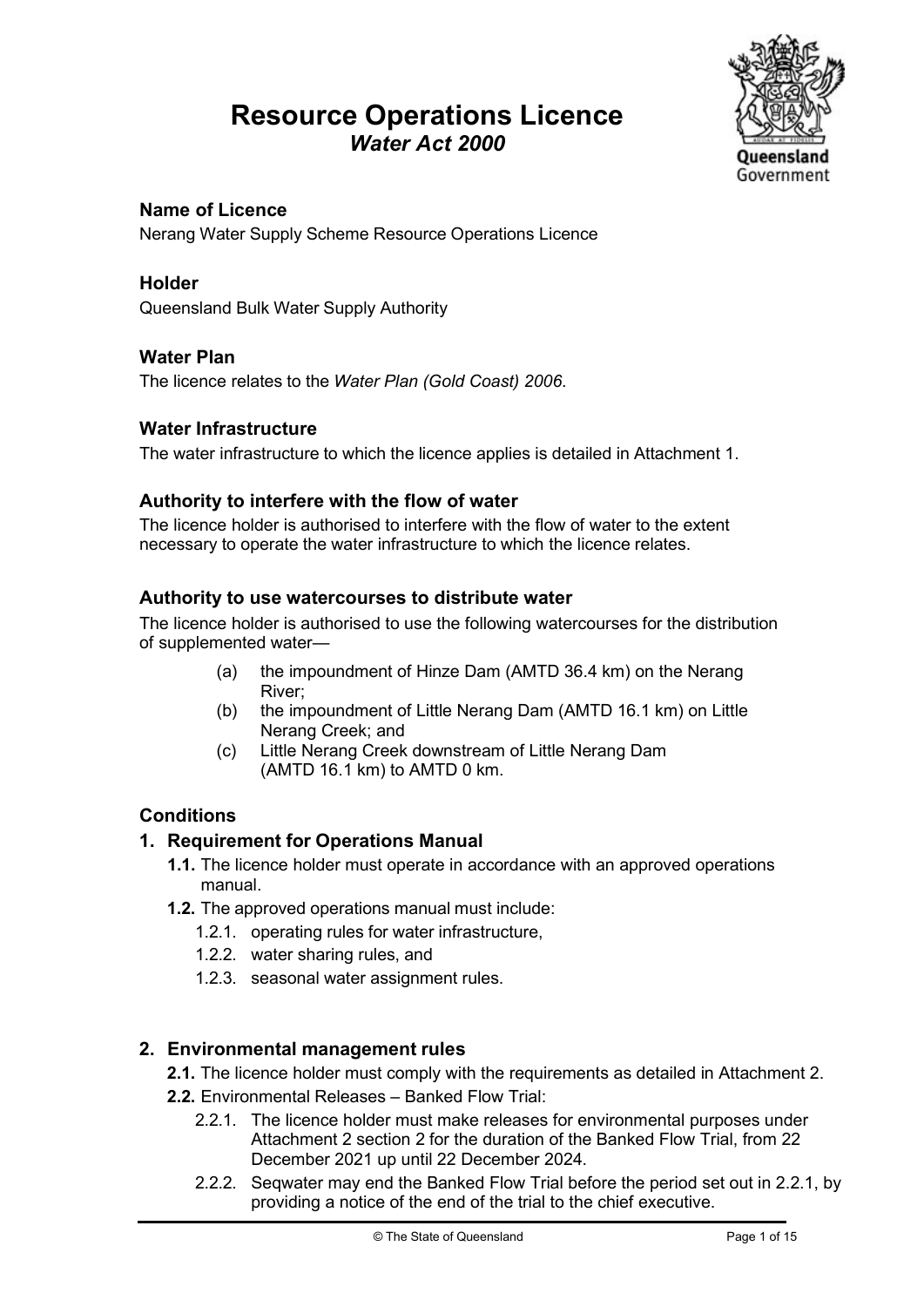## Resource Operations Licence Water Act 2000



## Name of Licence

Nerang Water Supply Scheme Resource Operations Licence

## Holder

Queensland Bulk Water Supply Authority

## Water Plan

The licence relates to the Water Plan (Gold Coast) 2006.

## Water Infrastructure

The water infrastructure to which the licence applies is detailed in Attachment 1.

## Authority to interfere with the flow of water

The licence holder is authorised to interfere with the flow of water to the extent necessary to operate the water infrastructure to which the licence relates.

## Authority to use watercourses to distribute water

The licence holder is authorised to use the following watercourses for the distribution of supplemented water—

- (a) the impoundment of Hinze Dam (AMTD 36.4 km) on the Nerang River;
- (b) the impoundment of Little Nerang Dam (AMTD 16.1 km) on Little Nerang Creek; and
- (c) Little Nerang Creek downstream of Little Nerang Dam (AMTD 16.1 km) to AMTD 0 km.

## **Conditions**

## 1. Requirement for Operations Manual

- 1.1. The licence holder must operate in accordance with an approved operations manual.
- 1.2. The approved operations manual must include:
	- 1.2.1. operating rules for water infrastructure,
	- 1.2.2. water sharing rules, and
	- 1.2.3. seasonal water assignment rules.

## 2. Environmental management rules

- 2.1. The licence holder must comply with the requirements as detailed in Attachment 2.
- 2.2. Environmental Releases Banked Flow Trial:
	- 2.2.1. The licence holder must make releases for environmental purposes under Attachment 2 section 2 for the duration of the Banked Flow Trial, from 22 December 2021 up until 22 December 2024.
	- 2.2.2. Seqwater may end the Banked Flow Trial before the period set out in 2.2.1, by providing a notice of the end of the trial to the chief executive.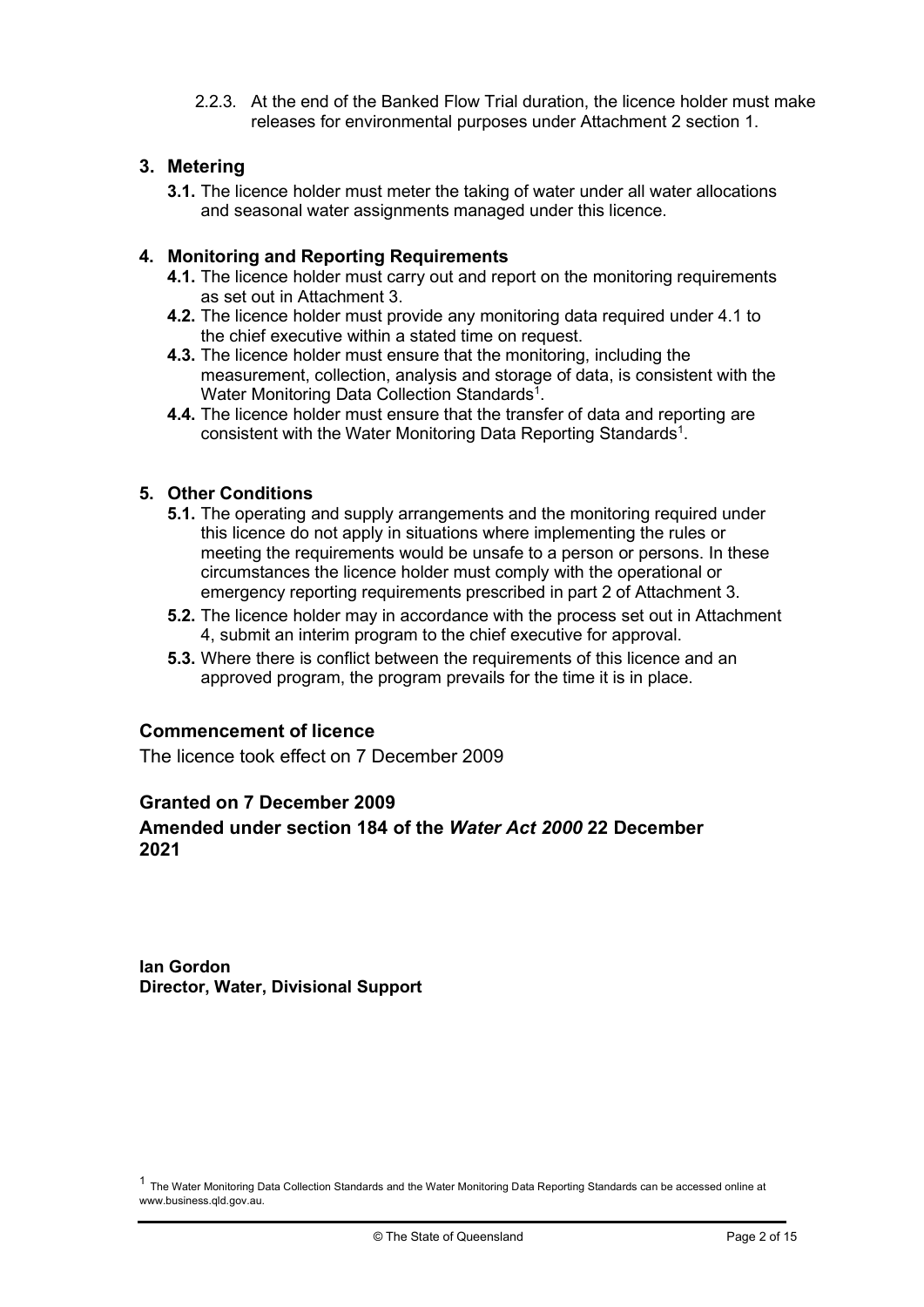2.2.3. At the end of the Banked Flow Trial duration, the licence holder must make releases for environmental purposes under Attachment 2 section 1.

### 3. Metering

3.1. The licence holder must meter the taking of water under all water allocations and seasonal water assignments managed under this licence.

#### 4. Monitoring and Reporting Requirements

- 4.1. The licence holder must carry out and report on the monitoring requirements as set out in Attachment 3.
- 4.2. The licence holder must provide any monitoring data required under 4.1 to the chief executive within a stated time on request.
- 4.3. The licence holder must ensure that the monitoring, including the measurement, collection, analysis and storage of data, is consistent with the Water Monitoring Data Collection Standards<sup>1</sup>.
- 4.4. The licence holder must ensure that the transfer of data and reporting are consistent with the Water Monitoring Data Reporting Standards<sup>1</sup>.

#### 5. Other Conditions

- **5.1.** The operating and supply arrangements and the monitoring required under this licence do not apply in situations where implementing the rules or meeting the requirements would be unsafe to a person or persons. In these circumstances the licence holder must comply with the operational or emergency reporting requirements prescribed in part 2 of Attachment 3.
- 5.2. The licence holder may in accordance with the process set out in Attachment 4, submit an interim program to the chief executive for approval.
- 5.3. Where there is conflict between the requirements of this licence and an approved program, the program prevails for the time it is in place.

#### Commencement of licence

The licence took effect on 7 December 2009

#### Granted on 7 December 2009

#### Amended under section 184 of the Water Act 2000 22 December 2021

Ian Gordon Director, Water, Divisional Support

 $1$  The Water Monitoring Data Collection Standards and the Water Monitoring Data Reporting Standards can be accessed online at www.business.qld.gov.au.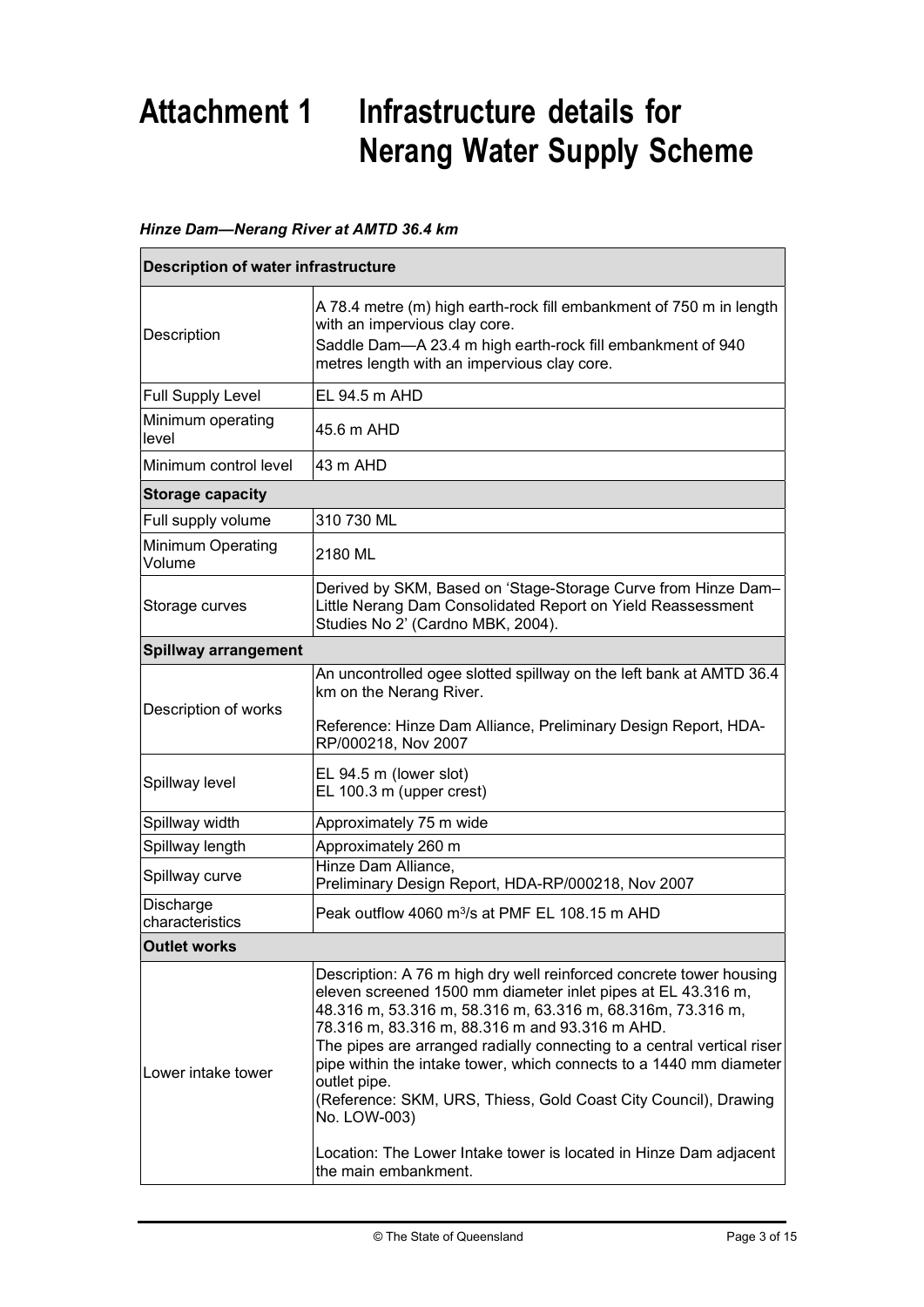# Attachment 1 Infrastructure details for Nerang Water Supply Scheme

#### Hinze Dam—Nerang River at AMTD 36.4 km

| <b>Description of water infrastructure</b> |                                                                                                                                                                                                                                                                                                                                                                                                                                                                                                                                                                                                     |  |
|--------------------------------------------|-----------------------------------------------------------------------------------------------------------------------------------------------------------------------------------------------------------------------------------------------------------------------------------------------------------------------------------------------------------------------------------------------------------------------------------------------------------------------------------------------------------------------------------------------------------------------------------------------------|--|
| Description                                | A 78.4 metre (m) high earth-rock fill embankment of 750 m in length<br>with an impervious clay core.<br>Saddle Dam-A 23.4 m high earth-rock fill embankment of 940<br>metres length with an impervious clay core.                                                                                                                                                                                                                                                                                                                                                                                   |  |
| <b>Full Supply Level</b>                   | EL 94.5 m AHD                                                                                                                                                                                                                                                                                                                                                                                                                                                                                                                                                                                       |  |
| Minimum operating<br>level                 | 45.6 m AHD                                                                                                                                                                                                                                                                                                                                                                                                                                                                                                                                                                                          |  |
| Minimum control level                      | 43 m AHD                                                                                                                                                                                                                                                                                                                                                                                                                                                                                                                                                                                            |  |
| <b>Storage capacity</b>                    |                                                                                                                                                                                                                                                                                                                                                                                                                                                                                                                                                                                                     |  |
| Full supply volume                         | 310 730 ML                                                                                                                                                                                                                                                                                                                                                                                                                                                                                                                                                                                          |  |
| Minimum Operating<br>Volume                | 2180 ML                                                                                                                                                                                                                                                                                                                                                                                                                                                                                                                                                                                             |  |
| Storage curves                             | Derived by SKM, Based on 'Stage-Storage Curve from Hinze Dam-<br>Little Nerang Dam Consolidated Report on Yield Reassessment<br>Studies No 2' (Cardno MBK, 2004).                                                                                                                                                                                                                                                                                                                                                                                                                                   |  |
| <b>Spillway arrangement</b>                |                                                                                                                                                                                                                                                                                                                                                                                                                                                                                                                                                                                                     |  |
| Description of works                       | An uncontrolled ogee slotted spillway on the left bank at AMTD 36.4<br>km on the Nerang River.<br>Reference: Hinze Dam Alliance, Preliminary Design Report, HDA-                                                                                                                                                                                                                                                                                                                                                                                                                                    |  |
|                                            | RP/000218, Nov 2007                                                                                                                                                                                                                                                                                                                                                                                                                                                                                                                                                                                 |  |
| Spillway level                             | EL 94.5 m (lower slot)<br>EL 100.3 m (upper crest)                                                                                                                                                                                                                                                                                                                                                                                                                                                                                                                                                  |  |
| Spillway width                             | Approximately 75 m wide                                                                                                                                                                                                                                                                                                                                                                                                                                                                                                                                                                             |  |
| Spillway length                            | Approximately 260 m                                                                                                                                                                                                                                                                                                                                                                                                                                                                                                                                                                                 |  |
| Spillway curve                             | Hinze Dam Alliance,<br>Preliminary Design Report, HDA-RP/000218, Nov 2007                                                                                                                                                                                                                                                                                                                                                                                                                                                                                                                           |  |
| Discharge<br>characteristics               | Peak outflow 4060 m <sup>3</sup> /s at PMF EL 108.15 m AHD                                                                                                                                                                                                                                                                                                                                                                                                                                                                                                                                          |  |
| <b>Outlet works</b>                        |                                                                                                                                                                                                                                                                                                                                                                                                                                                                                                                                                                                                     |  |
| Lower intake tower                         | Description: A 76 m high dry well reinforced concrete tower housing<br>eleven screened 1500 mm diameter inlet pipes at EL 43.316 m,<br>48.316 m, 53.316 m, 58.316 m, 63.316 m, 68.316m, 73.316 m,<br>78.316 m, 83.316 m, 88.316 m and 93.316 m AHD.<br>The pipes are arranged radially connecting to a central vertical riser<br>pipe within the intake tower, which connects to a 1440 mm diameter<br>outlet pipe.<br>(Reference: SKM, URS, Thiess, Gold Coast City Council), Drawing<br>No. LOW-003)<br>Location: The Lower Intake tower is located in Hinze Dam adjacent<br>the main embankment. |  |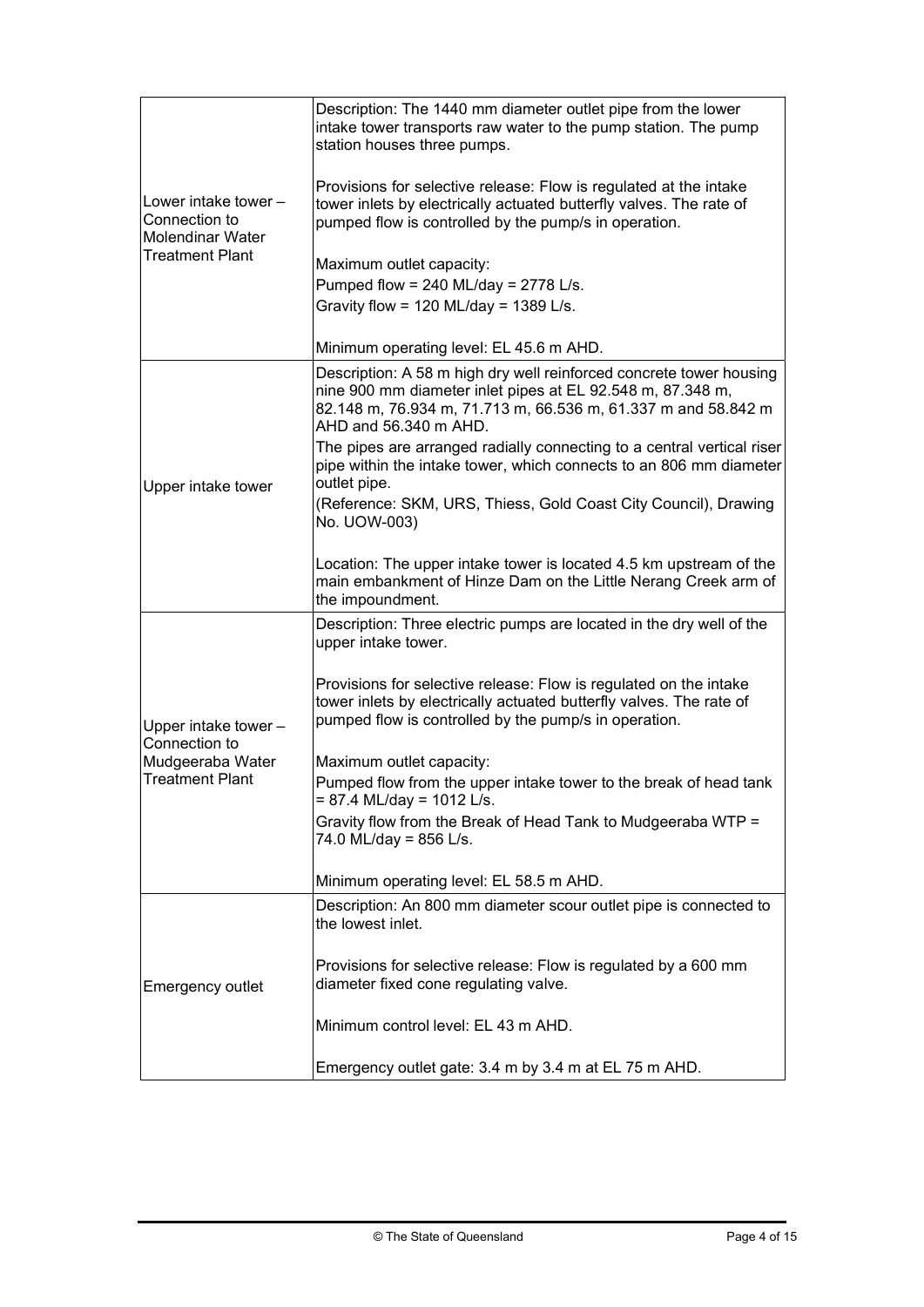| lLower intake tower –<br>Connection to<br><b>Molendinar Water</b><br><b>Treatment Plant</b> | Description: The 1440 mm diameter outlet pipe from the lower<br>intake tower transports raw water to the pump station. The pump<br>station houses three pumps.                                                              |
|---------------------------------------------------------------------------------------------|-----------------------------------------------------------------------------------------------------------------------------------------------------------------------------------------------------------------------------|
|                                                                                             | Provisions for selective release: Flow is regulated at the intake<br>tower inlets by electrically actuated butterfly valves. The rate of<br>pumped flow is controlled by the pump/s in operation.                           |
|                                                                                             | Maximum outlet capacity:                                                                                                                                                                                                    |
|                                                                                             | Pumped flow = 240 ML/day = $2778$ L/s.                                                                                                                                                                                      |
|                                                                                             | Gravity flow = 120 ML/day = 1389 L/s.                                                                                                                                                                                       |
|                                                                                             | Minimum operating level: EL 45.6 m AHD.                                                                                                                                                                                     |
| Upper intake tower                                                                          | Description: A 58 m high dry well reinforced concrete tower housing<br>nine 900 mm diameter inlet pipes at EL 92.548 m, 87.348 m,<br>82.148 m, 76.934 m, 71.713 m, 66.536 m, 61.337 m and 58.842 m<br>AHD and 56.340 m AHD. |
|                                                                                             | The pipes are arranged radially connecting to a central vertical riser<br>pipe within the intake tower, which connects to an 806 mm diameter<br>outlet pipe.                                                                |
|                                                                                             | (Reference: SKM, URS, Thiess, Gold Coast City Council), Drawing<br>No. UOW-003)                                                                                                                                             |
|                                                                                             | Location: The upper intake tower is located 4.5 km upstream of the<br>main embankment of Hinze Dam on the Little Nerang Creek arm of<br>the impoundment.                                                                    |
| Upper intake tower -<br>Connection to<br>Mudgeeraba Water<br><b>Treatment Plant</b>         | Description: Three electric pumps are located in the dry well of the<br>upper intake tower.                                                                                                                                 |
|                                                                                             | Provisions for selective release: Flow is regulated on the intake<br>tower inlets by electrically actuated butterfly valves. The rate of<br>pumped flow is controlled by the pump/s in operation.                           |
|                                                                                             | Maximum outlet capacity:                                                                                                                                                                                                    |
|                                                                                             | Pumped flow from the upper intake tower to the break of head tank<br>$= 87.4$ ML/day = 1012 L/s.                                                                                                                            |
|                                                                                             | Gravity flow from the Break of Head Tank to Mudgeeraba WTP =<br>74.0 ML/day = 856 L/s.                                                                                                                                      |
|                                                                                             | Minimum operating level: EL 58.5 m AHD.                                                                                                                                                                                     |
| Emergency outlet                                                                            | Description: An 800 mm diameter scour outlet pipe is connected to<br>the lowest inlet.                                                                                                                                      |
|                                                                                             | Provisions for selective release: Flow is regulated by a 600 mm<br>diameter fixed cone regulating valve.                                                                                                                    |
|                                                                                             | Minimum control level: EL 43 m AHD.                                                                                                                                                                                         |
|                                                                                             | Emergency outlet gate: 3.4 m by 3.4 m at EL 75 m AHD.                                                                                                                                                                       |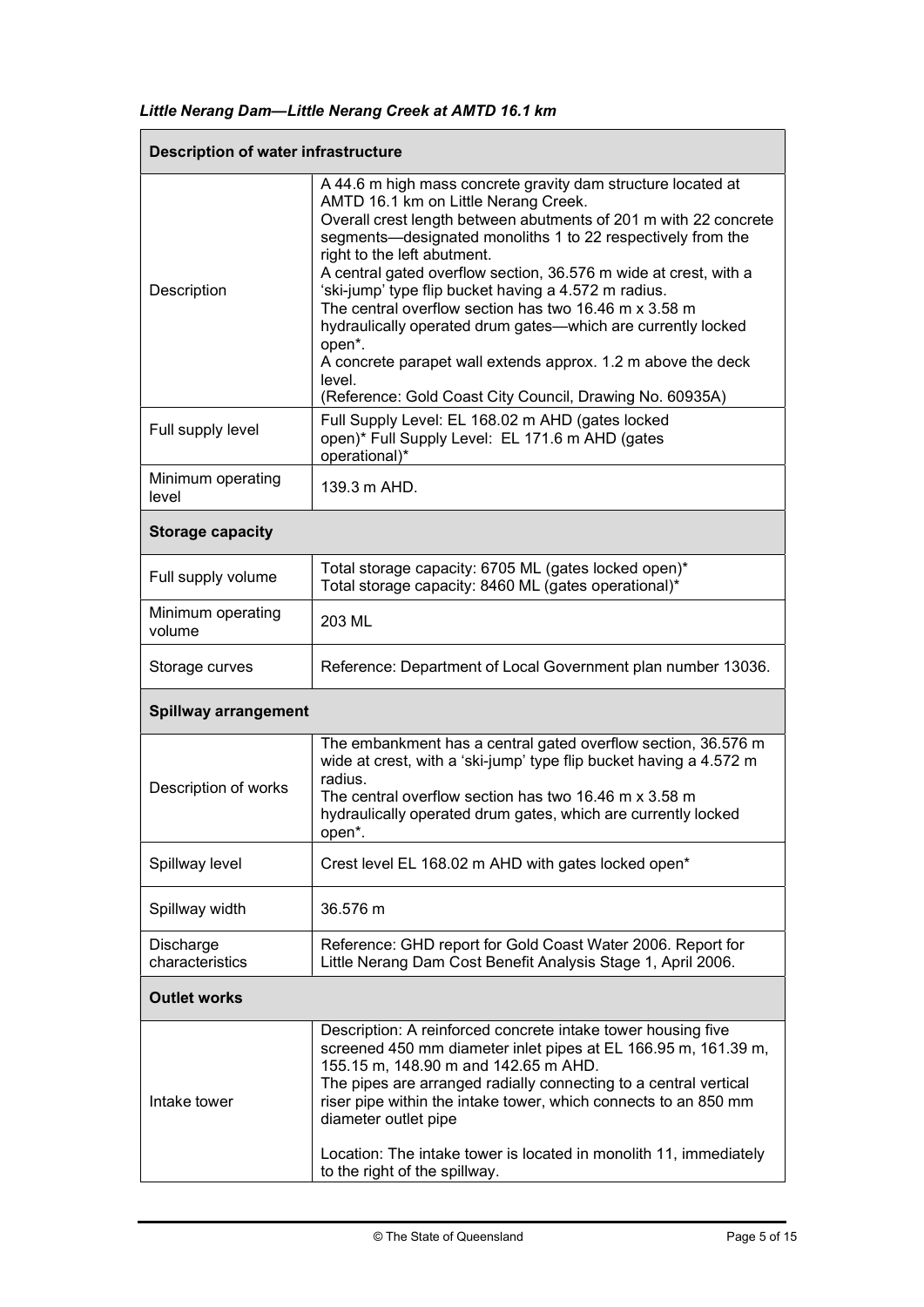|  |  |  | Little Nerang Dam-Little Nerang Creek at AMTD 16.1 km |
|--|--|--|-------------------------------------------------------|
|--|--|--|-------------------------------------------------------|

| <b>Description of water infrastructure</b> |                                                                                                                                                                                                                                                                                                                                                                                                                                                                                                                                                                                                                                                                             |  |
|--------------------------------------------|-----------------------------------------------------------------------------------------------------------------------------------------------------------------------------------------------------------------------------------------------------------------------------------------------------------------------------------------------------------------------------------------------------------------------------------------------------------------------------------------------------------------------------------------------------------------------------------------------------------------------------------------------------------------------------|--|
| Description                                | A 44.6 m high mass concrete gravity dam structure located at<br>AMTD 16.1 km on Little Nerang Creek.<br>Overall crest length between abutments of 201 m with 22 concrete<br>segments-designated monoliths 1 to 22 respectively from the<br>right to the left abutment.<br>A central gated overflow section, 36.576 m wide at crest, with a<br>'ski-jump' type flip bucket having a 4.572 m radius.<br>The central overflow section has two 16.46 m x 3.58 m<br>hydraulically operated drum gates-which are currently locked<br>open*.<br>A concrete parapet wall extends approx. 1.2 m above the deck<br>level.<br>(Reference: Gold Coast City Council, Drawing No. 60935A) |  |
| Full supply level                          | Full Supply Level: EL 168.02 m AHD (gates locked<br>open)* Full Supply Level: EL 171.6 m AHD (gates<br>operational)*                                                                                                                                                                                                                                                                                                                                                                                                                                                                                                                                                        |  |
| Minimum operating<br>level                 | 139.3 m AHD.                                                                                                                                                                                                                                                                                                                                                                                                                                                                                                                                                                                                                                                                |  |
| <b>Storage capacity</b>                    |                                                                                                                                                                                                                                                                                                                                                                                                                                                                                                                                                                                                                                                                             |  |
| Full supply volume                         | Total storage capacity: 6705 ML (gates locked open)*<br>Total storage capacity: 8460 ML (gates operational)*                                                                                                                                                                                                                                                                                                                                                                                                                                                                                                                                                                |  |
| Minimum operating<br>volume                | 203 ML                                                                                                                                                                                                                                                                                                                                                                                                                                                                                                                                                                                                                                                                      |  |
| Storage curves                             | Reference: Department of Local Government plan number 13036.                                                                                                                                                                                                                                                                                                                                                                                                                                                                                                                                                                                                                |  |
| <b>Spillway arrangement</b>                |                                                                                                                                                                                                                                                                                                                                                                                                                                                                                                                                                                                                                                                                             |  |
| Description of works                       | The embankment has a central gated overflow section, 36.576 m<br>wide at crest, with a 'ski-jump' type flip bucket having a 4.572 m<br>radius.<br>The central overflow section has two 16.46 m x 3.58 m<br>hydraulically operated drum gates, which are currently locked<br>open*.                                                                                                                                                                                                                                                                                                                                                                                          |  |
| Spillway level                             | Crest level EL 168.02 m AHD with gates locked open*                                                                                                                                                                                                                                                                                                                                                                                                                                                                                                                                                                                                                         |  |
| Spillway width                             | 36.576 m                                                                                                                                                                                                                                                                                                                                                                                                                                                                                                                                                                                                                                                                    |  |
| Discharge<br>characteristics               | Reference: GHD report for Gold Coast Water 2006. Report for<br>Little Nerang Dam Cost Benefit Analysis Stage 1, April 2006.                                                                                                                                                                                                                                                                                                                                                                                                                                                                                                                                                 |  |
| <b>Outlet works</b>                        |                                                                                                                                                                                                                                                                                                                                                                                                                                                                                                                                                                                                                                                                             |  |
| Intake tower                               | Description: A reinforced concrete intake tower housing five<br>screened 450 mm diameter inlet pipes at EL 166.95 m, 161.39 m,<br>155.15 m, 148.90 m and 142.65 m AHD.<br>The pipes are arranged radially connecting to a central vertical<br>riser pipe within the intake tower, which connects to an 850 mm<br>diameter outlet pipe<br>Location: The intake tower is located in monolith 11, immediately<br>to the right of the spillway.                                                                                                                                                                                                                                 |  |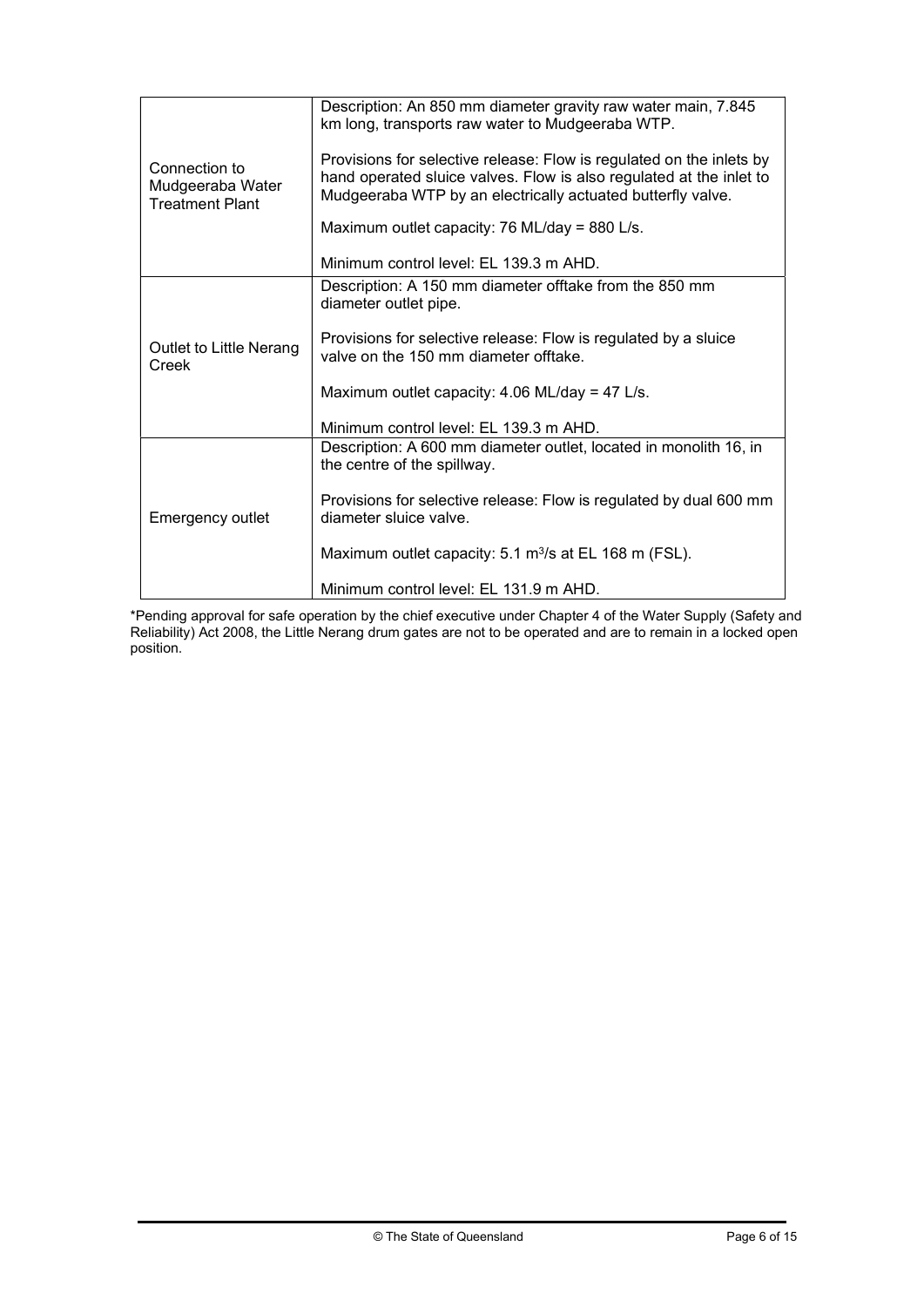| Connection to<br>Mudgeeraba Water<br><b>Treatment Plant</b> | Description: An 850 mm diameter gravity raw water main, 7.845<br>km long, transports raw water to Mudgeeraba WTP.<br>Provisions for selective release: Flow is regulated on the inlets by<br>hand operated sluice valves. Flow is also regulated at the inlet to<br>Mudgeeraba WTP by an electrically actuated butterfly valve.<br>Maximum outlet capacity: 76 ML/day = 880 L/s.<br>Minimum control level: EL 139.3 m AHD. |
|-------------------------------------------------------------|----------------------------------------------------------------------------------------------------------------------------------------------------------------------------------------------------------------------------------------------------------------------------------------------------------------------------------------------------------------------------------------------------------------------------|
|                                                             |                                                                                                                                                                                                                                                                                                                                                                                                                            |
| Outlet to Little Nerang<br>Creek                            | Description: A 150 mm diameter offtake from the 850 mm<br>diameter outlet pipe.                                                                                                                                                                                                                                                                                                                                            |
|                                                             | Provisions for selective release: Flow is regulated by a sluice<br>valve on the 150 mm diameter offtake.                                                                                                                                                                                                                                                                                                                   |
|                                                             | Maximum outlet capacity: $4.06$ ML/day = 47 L/s.                                                                                                                                                                                                                                                                                                                                                                           |
|                                                             | Minimum control level: EL 139.3 m AHD.                                                                                                                                                                                                                                                                                                                                                                                     |
| Emergency outlet                                            | Description: A 600 mm diameter outlet, located in monolith 16, in<br>the centre of the spillway.                                                                                                                                                                                                                                                                                                                           |
|                                                             | Provisions for selective release: Flow is regulated by dual 600 mm<br>diameter sluice valve.                                                                                                                                                                                                                                                                                                                               |
|                                                             | Maximum outlet capacity: $5.1 \text{ m}^3\text{/s}$ at EL 168 m (FSL).                                                                                                                                                                                                                                                                                                                                                     |
|                                                             | Minimum control level: EL 131.9 m AHD.                                                                                                                                                                                                                                                                                                                                                                                     |

\*Pending approval for safe operation by the chief executive under Chapter 4 of the Water Supply (Safety and Reliability) Act 2008, the Little Nerang drum gates are not to be operated and are to remain in a locked open position.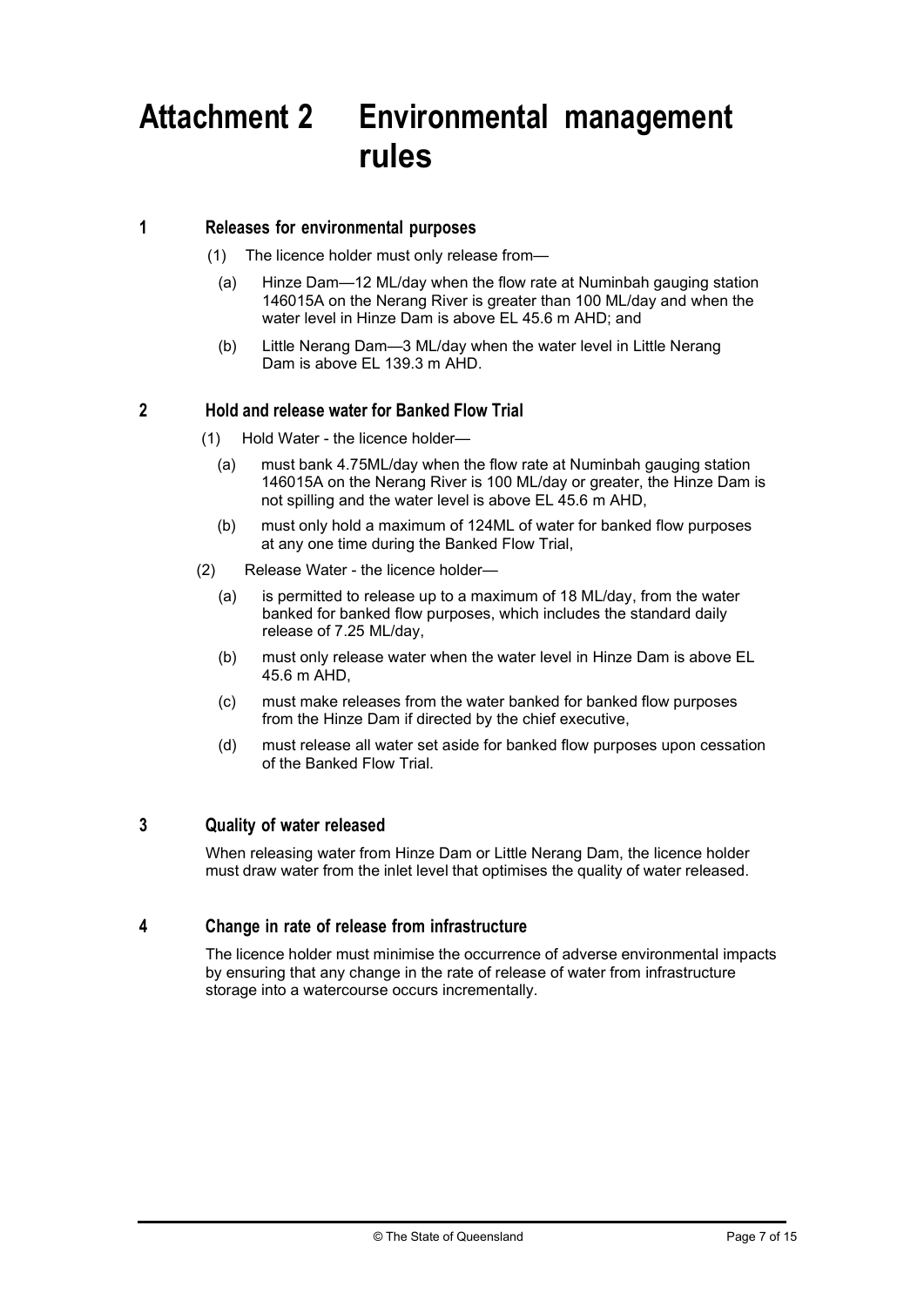# Attachment 2 Environmental management rules

#### 1 Releases for environmental purposes

- (1) The licence holder must only release from—
	- (a) Hinze Dam—12 ML/day when the flow rate at Numinbah gauging station 146015A on the Nerang River is greater than 100 ML/day and when the water level in Hinze Dam is above EL 45.6 m AHD; and
	- (b) Little Nerang Dam—3 ML/day when the water level in Little Nerang Dam is above EL 139.3 m AHD.

#### 2 Hold and release water for Banked Flow Trial

- (1) Hold Water the licence holder—
	- (a) must bank 4.75ML/day when the flow rate at Numinbah gauging station 146015A on the Nerang River is 100 ML/day or greater, the Hinze Dam is not spilling and the water level is above EL 45.6 m AHD,
	- (b) must only hold a maximum of 124ML of water for banked flow purposes at any one time during the Banked Flow Trial,
- (2) Release Water the licence holder—
	- (a) is permitted to release up to a maximum of 18 ML/day, from the water banked for banked flow purposes, which includes the standard daily release of 7.25 ML/day,
	- (b) must only release water when the water level in Hinze Dam is above EL 45.6 m AHD,
	- (c) must make releases from the water banked for banked flow purposes from the Hinze Dam if directed by the chief executive,
	- (d) must release all water set aside for banked flow purposes upon cessation of the Banked Flow Trial.

#### 3 Quality of water released

When releasing water from Hinze Dam or Little Nerang Dam, the licence holder must draw water from the inlet level that optimises the quality of water released.

#### 4 Change in rate of release from infrastructure

The licence holder must minimise the occurrence of adverse environmental impacts by ensuring that any change in the rate of release of water from infrastructure storage into a watercourse occurs incrementally.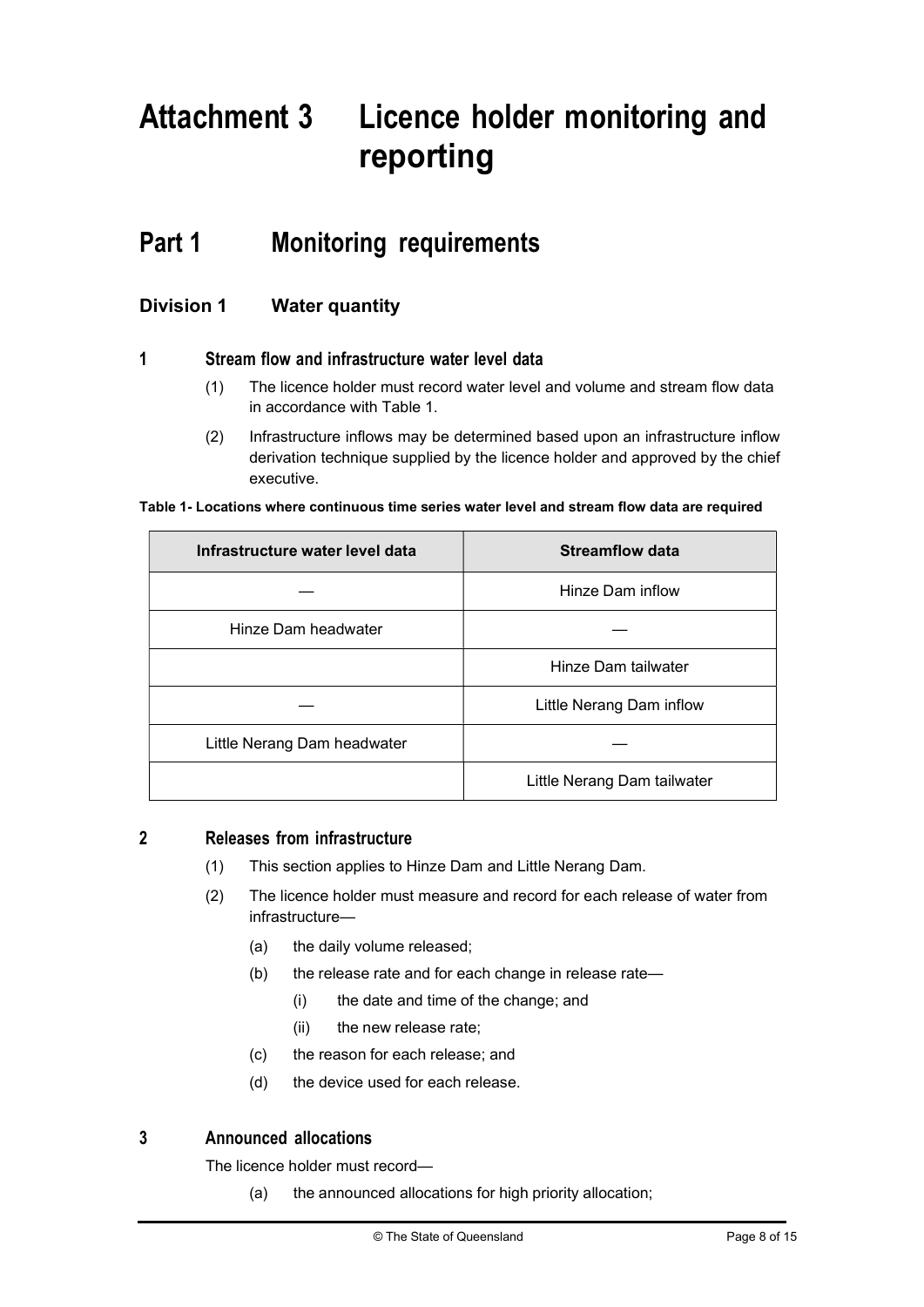# Attachment 3 Licence holder monitoring and reporting

## Part 1 Monitoring requirements

## Division 1 Water quantity

#### 1 Stream flow and infrastructure water level data

- (1) The licence holder must record water level and volume and stream flow data in accordance with Table 1.
- (2) Infrastructure inflows may be determined based upon an infrastructure inflow derivation technique supplied by the licence holder and approved by the chief executive.

#### Table 1- Locations where continuous time series water level and stream flow data are required

| Infrastructure water level data | <b>Streamflow data</b>      |
|---------------------------------|-----------------------------|
|                                 | Hinze Dam inflow            |
| Hinze Dam headwater             |                             |
|                                 | Hinze Dam tailwater         |
|                                 | Little Nerang Dam inflow    |
| Little Nerang Dam headwater     |                             |
|                                 | Little Nerang Dam tailwater |

#### 2 Releases from infrastructure

- (1) This section applies to Hinze Dam and Little Nerang Dam.
- (2) The licence holder must measure and record for each release of water from infrastructure—
	- (a) the daily volume released;
	- (b) the release rate and for each change in release rate—
		- (i) the date and time of the change; and
		- (ii) the new release rate;
	- (c) the reason for each release; and
	- (d) the device used for each release.

## 3 Announced allocations

The licence holder must record—

(a) the announced allocations for high priority allocation;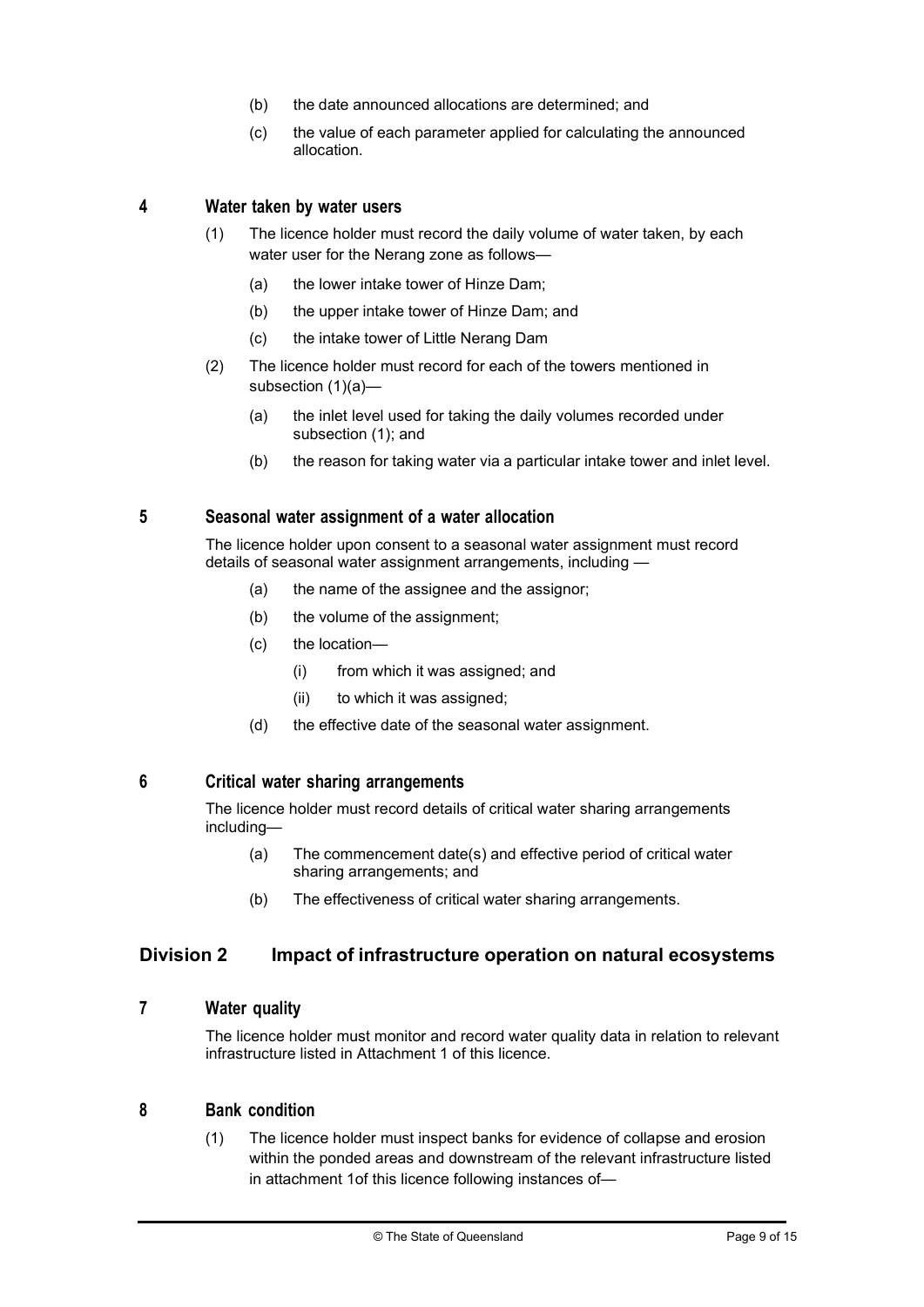- (b) the date announced allocations are determined; and
- (c) the value of each parameter applied for calculating the announced allocation.

#### 4 Water taken by water users

- (1) The licence holder must record the daily volume of water taken, by each water user for the Nerang zone as follows—
	- (a) the lower intake tower of Hinze Dam;
	- (b) the upper intake tower of Hinze Dam; and
	- (c) the intake tower of Little Nerang Dam
- (2) The licence holder must record for each of the towers mentioned in subsection (1)(a)—
	- (a) the inlet level used for taking the daily volumes recorded under subsection (1); and
	- (b) the reason for taking water via a particular intake tower and inlet level.

#### 5 Seasonal water assignment of a water allocation

The licence holder upon consent to a seasonal water assignment must record details of seasonal water assignment arrangements, including -

- (a) the name of the assignee and the assignor;
- (b) the volume of the assignment;
- (c) the location—
	- (i) from which it was assigned; and
	- (ii) to which it was assigned;
- (d) the effective date of the seasonal water assignment.

#### 6 Critical water sharing arrangements

The licence holder must record details of critical water sharing arrangements including—

- (a) The commencement date(s) and effective period of critical water sharing arrangements; and
- (b) The effectiveness of critical water sharing arrangements.

#### Division 2 Impact of infrastructure operation on natural ecosystems

#### 7 Water quality

The licence holder must monitor and record water quality data in relation to relevant infrastructure listed in Attachment 1 of this licence.

#### 8 Bank condition

(1) The licence holder must inspect banks for evidence of collapse and erosion within the ponded areas and downstream of the relevant infrastructure listed in attachment 1of this licence following instances of—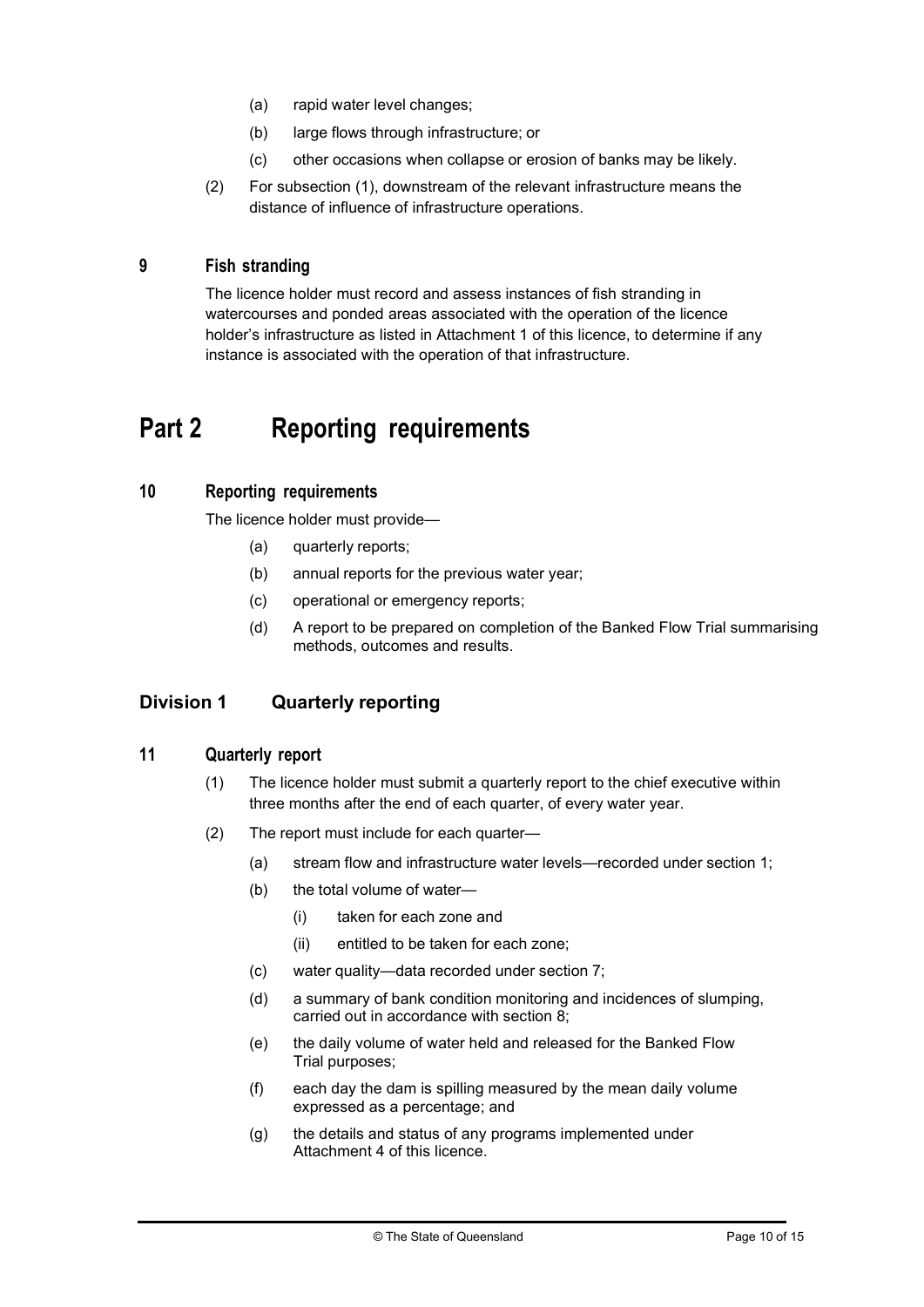- (a) rapid water level changes;
- (b) large flows through infrastructure; or
- (c) other occasions when collapse or erosion of banks may be likely.
- (2) For subsection (1), downstream of the relevant infrastructure means the distance of influence of infrastructure operations.

### 9 Fish stranding

The licence holder must record and assess instances of fish stranding in watercourses and ponded areas associated with the operation of the licence holder's infrastructure as listed in Attachment 1 of this licence, to determine if any instance is associated with the operation of that infrastructure.

## Part 2 Reporting requirements

#### 10 Reporting requirements

The licence holder must provide—

- (a) quarterly reports;
- (b) annual reports for the previous water year;
- (c) operational or emergency reports;
- (d) A report to be prepared on completion of the Banked Flow Trial summarising methods, outcomes and results.

## Division 1 Quarterly reporting

#### 11 Quarterly report

- (1) The licence holder must submit a quarterly report to the chief executive within three months after the end of each quarter, of every water year.
- (2) The report must include for each quarter—
	- (a) stream flow and infrastructure water levels—recorded under section 1;
	- (b) the total volume of water—
		- (i) taken for each zone and
		- (ii) entitled to be taken for each zone;
	- (c) water quality—data recorded under section 7;
	- (d) a summary of bank condition monitoring and incidences of slumping, carried out in accordance with section 8:
	- (e) the daily volume of water held and released for the Banked Flow Trial purposes;
	- (f) each day the dam is spilling measured by the mean daily volume expressed as a percentage; and
	- (g) the details and status of any programs implemented under Attachment 4 of this licence.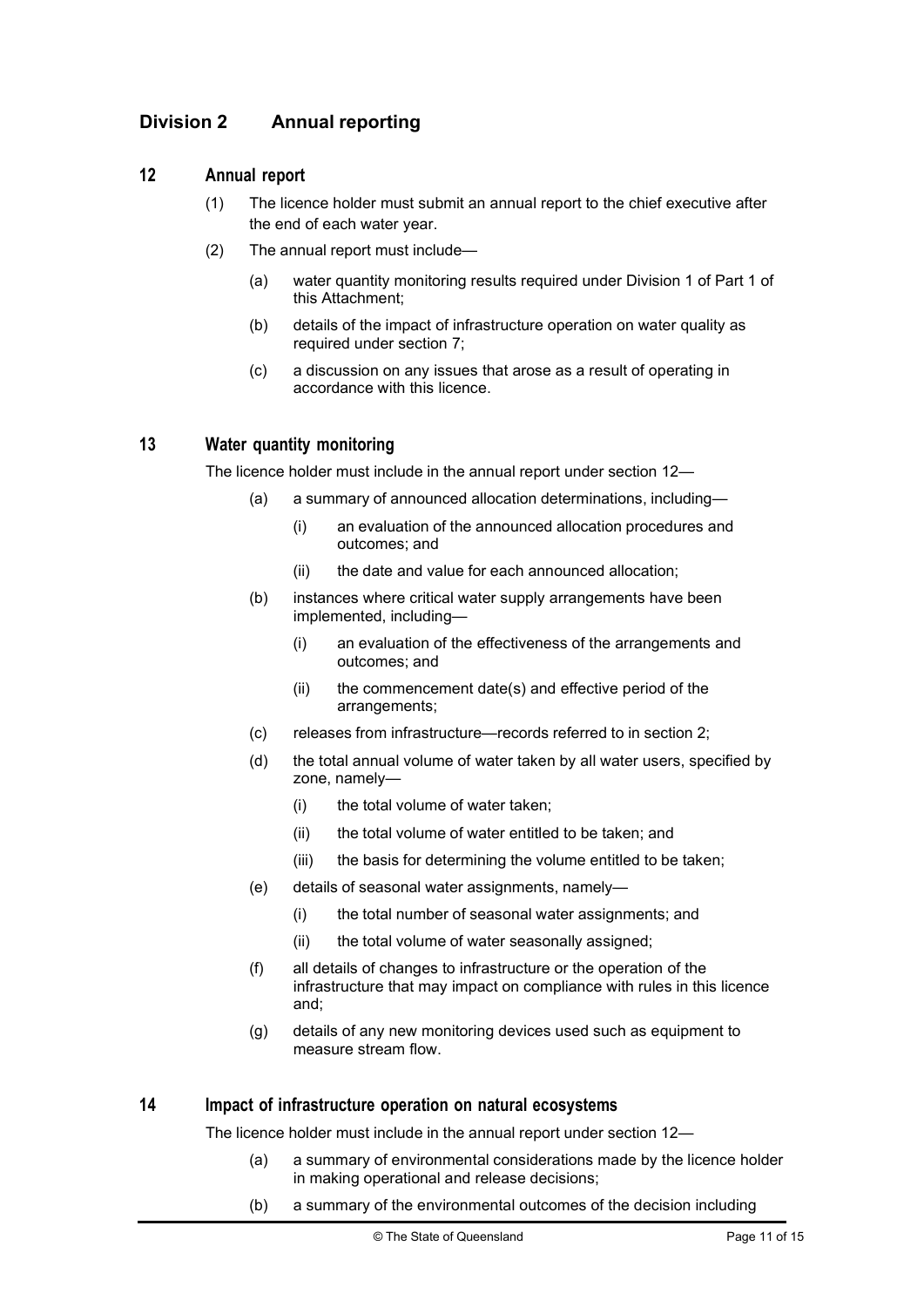## Division 2 Annual reporting

#### 12 Annual report

- (1) The licence holder must submit an annual report to the chief executive after the end of each water year.
- (2) The annual report must include—
	- (a) water quantity monitoring results required under Division 1 of Part 1 of this Attachment;
	- (b) details of the impact of infrastructure operation on water quality as required under section 7;
	- (c) a discussion on any issues that arose as a result of operating in accordance with this licence.

#### 13 Water quantity monitoring

The licence holder must include in the annual report under section 12—

- (a) a summary of announced allocation determinations, including—
	- (i) an evaluation of the announced allocation procedures and outcomes; and
	- (ii) the date and value for each announced allocation;
- (b) instances where critical water supply arrangements have been implemented, including—
	- (i) an evaluation of the effectiveness of the arrangements and outcomes; and
	- (ii) the commencement date(s) and effective period of the arrangements;
- (c) releases from infrastructure—records referred to in section 2;
- (d) the total annual volume of water taken by all water users, specified by zone, namely—
	- (i) the total volume of water taken;
	- (ii) the total volume of water entitled to be taken; and
	- (iii) the basis for determining the volume entitled to be taken;
- (e) details of seasonal water assignments, namely—
	- (i) the total number of seasonal water assignments; and
	- (ii) the total volume of water seasonally assigned;
- (f) all details of changes to infrastructure or the operation of the infrastructure that may impact on compliance with rules in this licence and;
- (g) details of any new monitoring devices used such as equipment to measure stream flow.

#### 14 Impact of infrastructure operation on natural ecosystems

The licence holder must include in the annual report under section 12—

- (a) a summary of environmental considerations made by the licence holder in making operational and release decisions;
- (b) a summary of the environmental outcomes of the decision including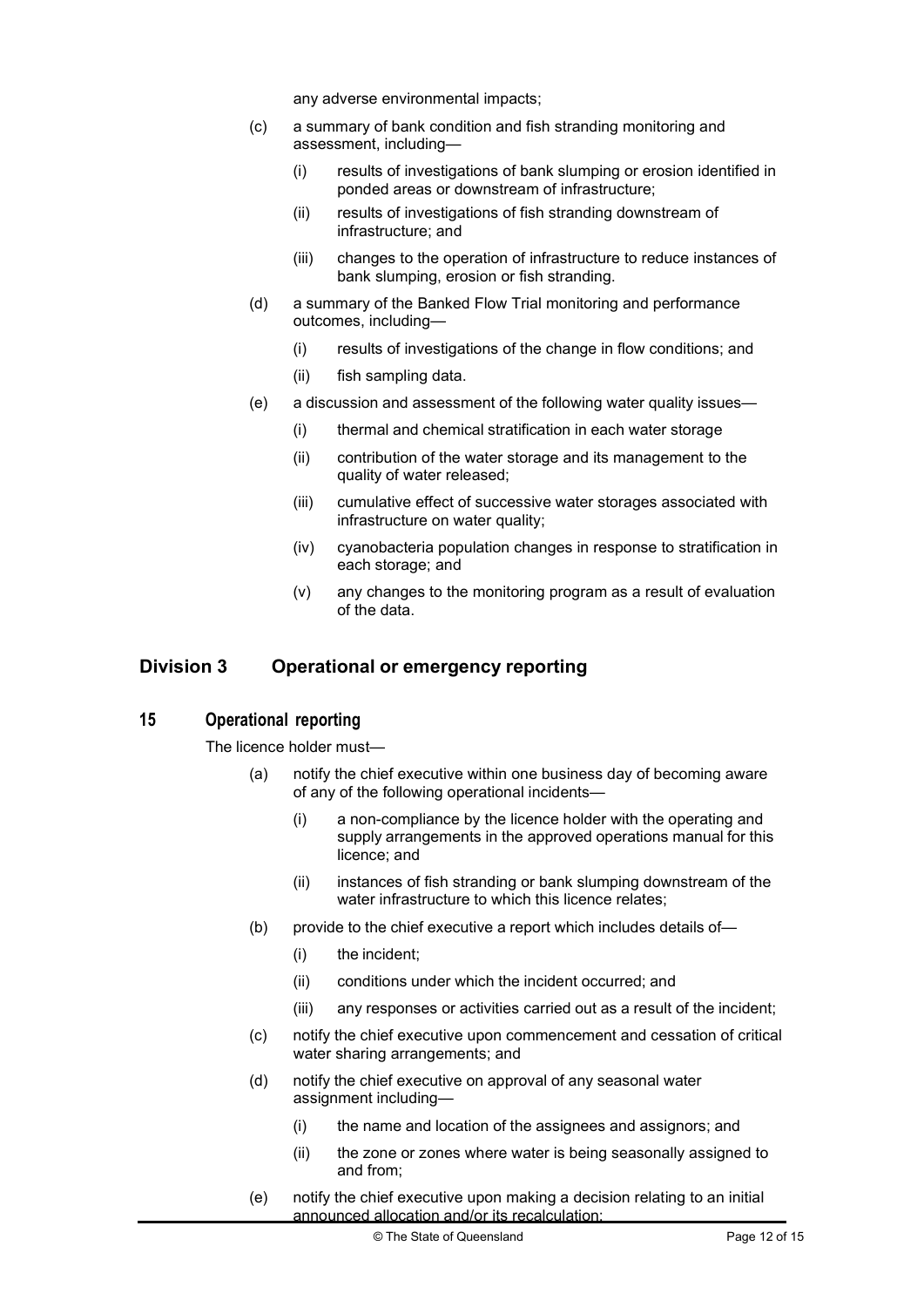any adverse environmental impacts;

- (c) a summary of bank condition and fish stranding monitoring and assessment, including—
	- (i) results of investigations of bank slumping or erosion identified in ponded areas or downstream of infrastructure;
	- (ii) results of investigations of fish stranding downstream of infrastructure; and
	- (iii) changes to the operation of infrastructure to reduce instances of bank slumping, erosion or fish stranding.
- (d) a summary of the Banked Flow Trial monitoring and performance outcomes, including—
	- (i) results of investigations of the change in flow conditions; and
	- (ii) fish sampling data.
- (e) a discussion and assessment of the following water quality issues—
	- (i) thermal and chemical stratification in each water storage
	- (ii) contribution of the water storage and its management to the quality of water released;
	- (iii) cumulative effect of successive water storages associated with infrastructure on water quality;
	- (iv) cyanobacteria population changes in response to stratification in each storage; and
	- (v) any changes to the monitoring program as a result of evaluation of the data.

## Division 3 Operational or emergency reporting

#### 15 Operational reporting

The licence holder must—

- (a) notify the chief executive within one business day of becoming aware of any of the following operational incidents—
	- (i) a non-compliance by the licence holder with the operating and supply arrangements in the approved operations manual for this licence; and
	- (ii) instances of fish stranding or bank slumping downstream of the water infrastructure to which this licence relates;
- (b) provide to the chief executive a report which includes details of—
	- (i) the incident;
	- (ii) conditions under which the incident occurred; and
	- (iii) any responses or activities carried out as a result of the incident;
- (c) notify the chief executive upon commencement and cessation of critical water sharing arrangements; and
- (d) notify the chief executive on approval of any seasonal water assignment including—
	- (i) the name and location of the assignees and assignors; and
	- (ii) the zone or zones where water is being seasonally assigned to and from;
- (e) notify the chief executive upon making a decision relating to an initial announced allocation and/or its recalculation;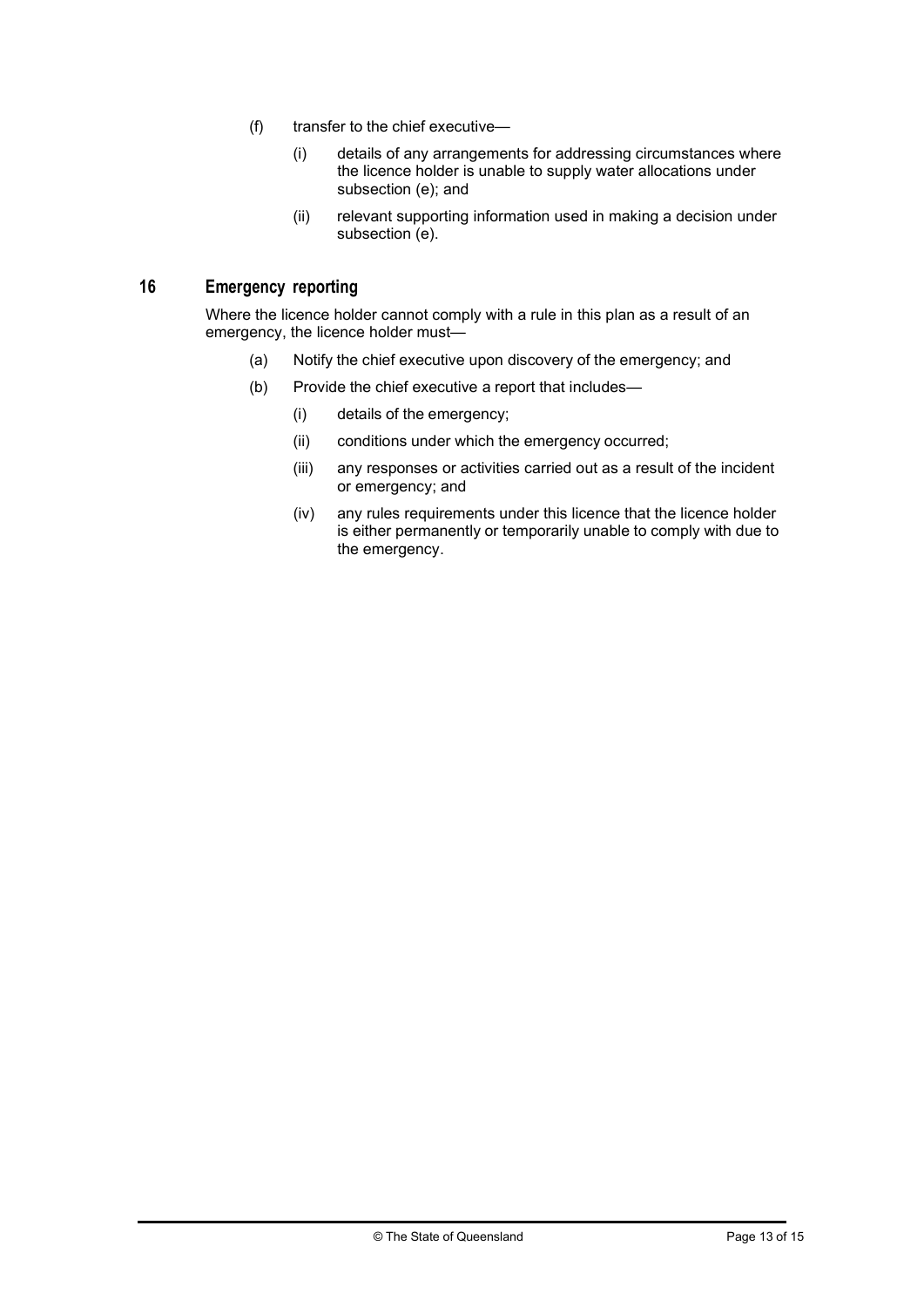- (f) transfer to the chief executive—
	- (i) details of any arrangements for addressing circumstances where the licence holder is unable to supply water allocations under subsection (e); and
	- (ii) relevant supporting information used in making a decision under subsection (e).

#### 16 Emergency reporting

Where the licence holder cannot comply with a rule in this plan as a result of an emergency, the licence holder must—

- (a) Notify the chief executive upon discovery of the emergency; and
- (b) Provide the chief executive a report that includes—
	- (i) details of the emergency;
	- (ii) conditions under which the emergency occurred;
	- (iii) any responses or activities carried out as a result of the incident or emergency; and
	- (iv) any rules requirements under this licence that the licence holder is either permanently or temporarily unable to comply with due to the emergency.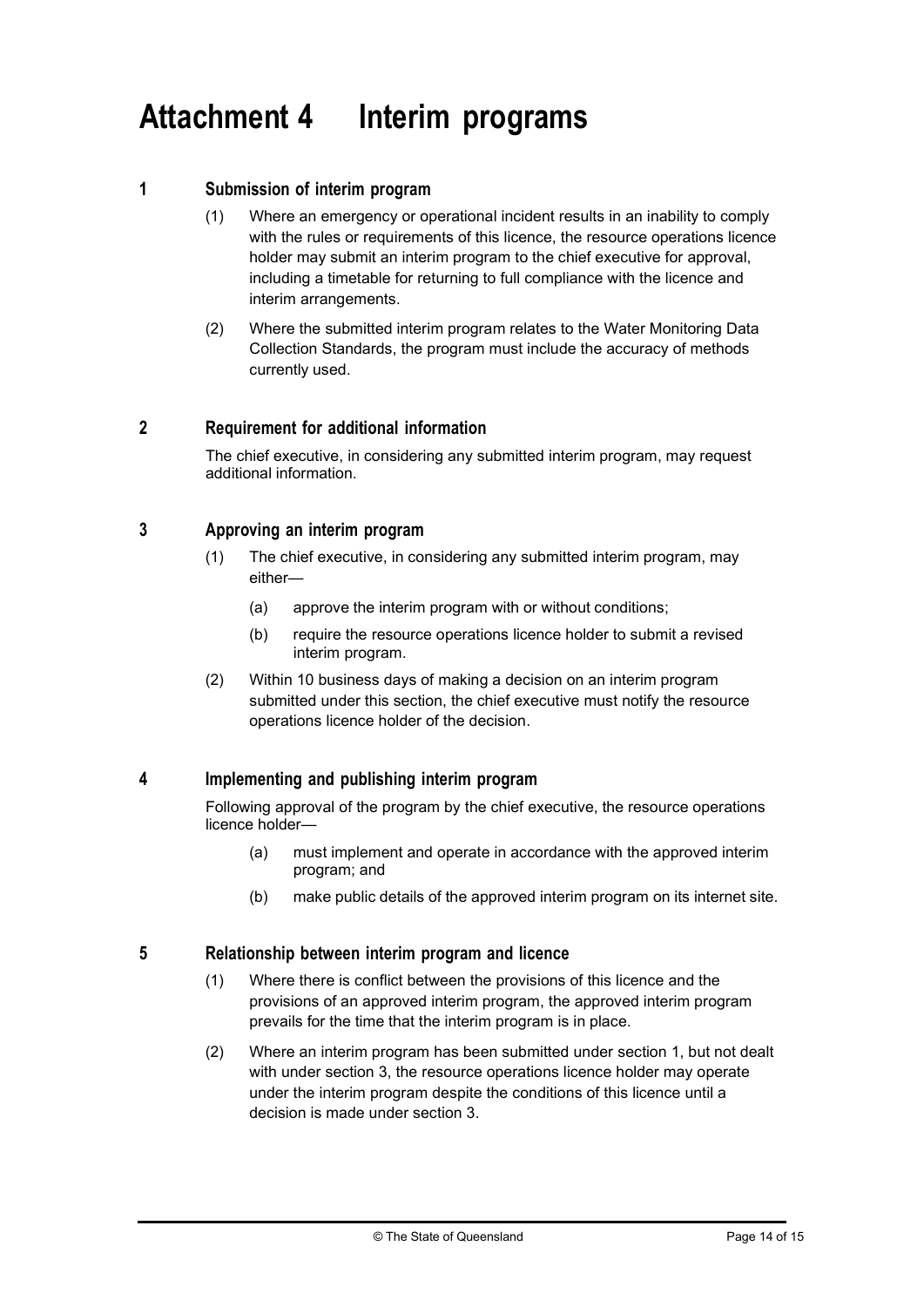# Attachment 4 Interim programs

#### 1 Submission of interim program

- (1) Where an emergency or operational incident results in an inability to comply with the rules or requirements of this licence, the resource operations licence holder may submit an interim program to the chief executive for approval, including a timetable for returning to full compliance with the licence and interim arrangements.
- (2) Where the submitted interim program relates to the Water Monitoring Data Collection Standards, the program must include the accuracy of methods currently used.

#### 2 Requirement for additional information

The chief executive, in considering any submitted interim program, may request additional information.

#### 3 Approving an interim program

- (1) The chief executive, in considering any submitted interim program, may either—
	- (a) approve the interim program with or without conditions;
	- (b) require the resource operations licence holder to submit a revised interim program.
- (2) Within 10 business days of making a decision on an interim program submitted under this section, the chief executive must notify the resource operations licence holder of the decision.

#### 4 Implementing and publishing interim program

Following approval of the program by the chief executive, the resource operations licence holder—

- (a) must implement and operate in accordance with the approved interim program; and
- (b) make public details of the approved interim program on its internet site.

#### 5 Relationship between interim program and licence

- (1) Where there is conflict between the provisions of this licence and the provisions of an approved interim program, the approved interim program prevails for the time that the interim program is in place.
- (2) Where an interim program has been submitted under section 1, but not dealt with under section 3, the resource operations licence holder may operate under the interim program despite the conditions of this licence until a decision is made under section 3.